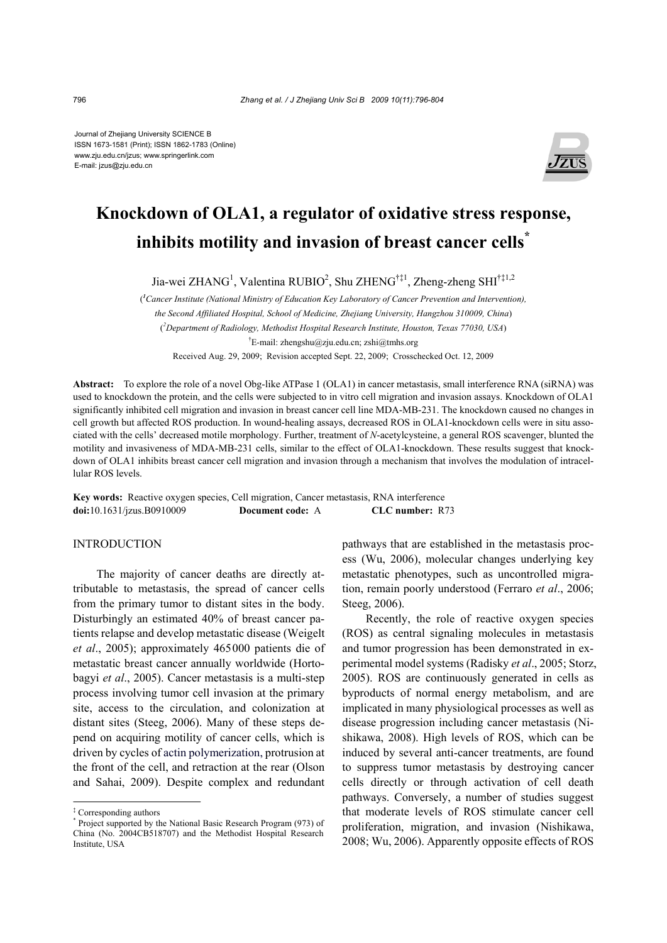Journal of Zhejiang University SCIENCE B ISSN 1673-1581 (Print); ISSN 1862-1783 (Online) www.zju.edu.cn/jzus; www.springerlink.com E-mail: jzus@zju.edu.cn



# **Knockdown of OLA1, a regulator of oxidative stress response, inhibits motility and invasion of breast cancer cells\***

Jia-wei ZHANG<sup>1</sup>, Valentina RUBIO<sup>2</sup>, Shu ZHENG<sup>†‡1</sup>, Zheng-zheng SHI<sup>†‡1,2</sup>

( *1 Cancer Institute (National Ministry of Education Key Laboratory of Cancer Prevention and Intervention), the Second Affiliated Hospital, School of Medicine, Zhejiang University, Hangzhou 310009, China*) ( *2 Department of Radiology, Methodist Hospital Research Institute, Houston, Texas 77030, USA*) † E-mail: zhengshu@zju.edu.cn; zshi@tmhs.org

Received Aug. 29, 2009; Revision accepted Sept. 22, 2009; Crosschecked Oct. 12, 2009

**Abstract:** To explore the role of a novel Obg-like ATPase 1 (OLA1) in cancer metastasis, small interference RNA (siRNA) was used to knockdown the protein, and the cells were subjected to in vitro cell migration and invasion assays. Knockdown of OLA1 significantly inhibited cell migration and invasion in breast cancer cell line MDA-MB-231. The knockdown caused no changes in cell growth but affected ROS production. In wound-healing assays, decreased ROS in OLA1-knockdown cells were in situ associated with the cells' decreased motile morphology. Further, treatment of *N*-acetylcysteine, a general ROS scavenger, blunted the motility and invasiveness of MDA-MB-231 cells, similar to the effect of OLA1-knockdown. These results suggest that knockdown of OLA1 inhibits breast cancer cell migration and invasion through a mechanism that involves the modulation of intracellular ROS levels.

**Key words:** Reactive oxygen species, Cell migration, Cancer metastasis, RNA interference **doi:**10.1631/jzus.B0910009 **Document code:** A **CLC number:** R73

# INTRODUCTION

The majority of cancer deaths are directly attributable to metastasis, the spread of cancer cells from the primary tumor to distant sites in the body. Disturbingly an estimated 40% of breast cancer patients relapse and develop metastatic disease (Weigelt *et al*., 2005); approximately 465000 patients die of metastatic breast cancer annually worldwide (Hortobagyi *et al*., 2005). Cancer metastasis is a multi-step process involving tumor cell invasion at the primary site, access to the circulation, and colonization at distant sites (Steeg, 2006). Many of these steps depend on acquiring motility of cancer cells, which is driven by cycles of actin polymerization, protrusion at the front of the cell, and retraction at the rear (Olson and Sahai, 2009). Despite complex and redundant pathways that are established in the metastasis process (Wu, 2006), molecular changes underlying key metastatic phenotypes, such as uncontrolled migration, remain poorly understood (Ferraro *et al*., 2006; Steeg, 2006).

Recently, the role of reactive oxygen species (ROS) as central signaling molecules in metastasis and tumor progression has been demonstrated in experimental model systems (Radisky *et al*., 2005; Storz, 2005). ROS are continuously generated in cells as byproducts of normal energy metabolism, and are implicated in many physiological processes as well as disease progression including cancer metastasis (Nishikawa, 2008). High levels of ROS, which can be induced by several anti-cancer treatments, are found to suppress tumor metastasis by destroying cancer cells directly or through activation of cell death pathways. Conversely, a number of studies suggest that moderate levels of ROS stimulate cancer cell proliferation, migration, and invasion (Nishikawa, 2008; Wu, 2006). Apparently opposite effects of ROS

<sup>‡</sup> Corresponding authors

<sup>\*</sup> Project supported by the National Basic Research Program (973) of China (No. 2004CB518707) and the Methodist Hospital Research Institute, USA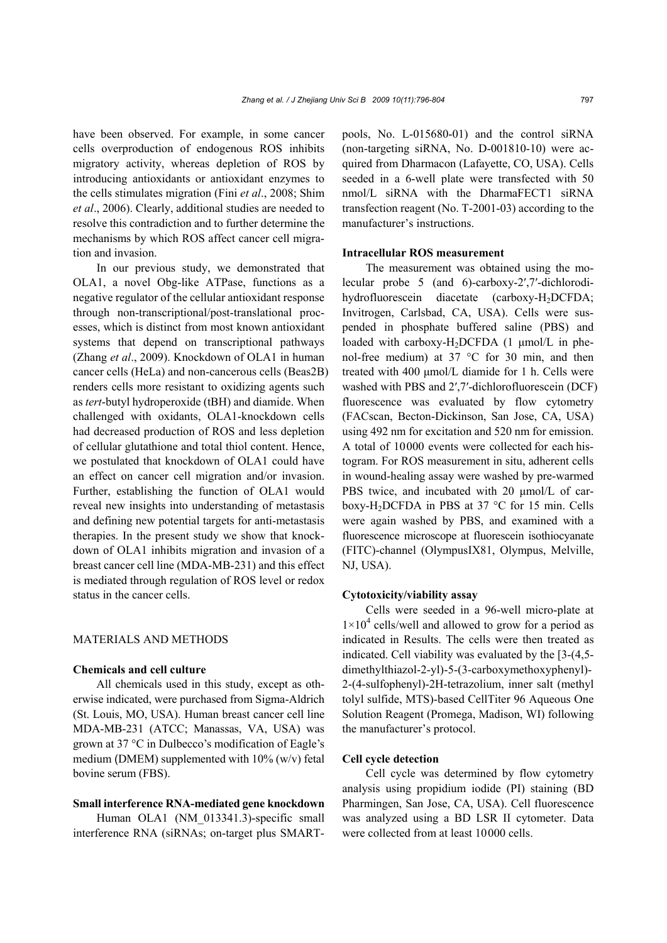have been observed. For example, in some cancer cells overproduction of endogenous ROS inhibits migratory activity, whereas depletion of ROS by introducing antioxidants or antioxidant enzymes to the cells stimulates migration (Fini *et al*., 2008; Shim *et al*., 2006). Clearly, additional studies are needed to resolve this contradiction and to further determine the mechanisms by which ROS affect cancer cell migration and invasion.

In our previous study, we demonstrated that OLA1, a novel Obg-like ATPase, functions as a negative regulator of the cellular antioxidant response through non-transcriptional/post-translational processes, which is distinct from most known antioxidant systems that depend on transcriptional pathways (Zhang *et al*., 2009). Knockdown of OLA1 in human cancer cells (HeLa) and non-cancerous cells (Beas2B) renders cells more resistant to oxidizing agents such as *tert*-butyl hydroperoxide (tBH) and diamide. When challenged with oxidants, OLA1-knockdown cells had decreased production of ROS and less depletion of cellular glutathione and total thiol content. Hence, we postulated that knockdown of OLA1 could have an effect on cancer cell migration and/or invasion. Further, establishing the function of OLA1 would reveal new insights into understanding of metastasis and defining new potential targets for anti-metastasis therapies. In the present study we show that knockdown of OLA1 inhibits migration and invasion of a breast cancer cell line (MDA-MB-231) and this effect is mediated through regulation of ROS level or redox status in the cancer cells.

## MATERIALS AND METHODS

## **Chemicals and cell culture**

All chemicals used in this study, except as otherwise indicated, were purchased from Sigma-Aldrich (St. Louis, MO, USA). Human breast cancer cell line MDA-MB-231 (ATCC; Manassas, VA, USA) was grown at 37 °C in Dulbecco's modification of Eagle's medium (DMEM) supplemented with 10% (w/v) fetal bovine serum (FBS).

## **Small interference RNA-mediated gene knockdown**

Human OLA1 (NM\_013341.3)-specific small interference RNA (siRNAs; on-target plus SMART- pools, No. L-015680-01) and the control siRNA (non-targeting siRNA, No. D-001810-10) were acquired from Dharmacon (Lafayette, CO, USA). Cells seeded in a 6-well plate were transfected with 50 nmol/L siRNA with the DharmaFECT1 siRNA transfection reagent (No. T-2001-03) according to the manufacturer's instructions.

# **Intracellular ROS measurement**

The measurement was obtained using the molecular probe 5 (and 6)-carboxy-2′,7′-dichlorodihydrofluorescein diacetate (carboxy-H2DCFDA; Invitrogen, Carlsbad, CA, USA). Cells were suspended in phosphate buffered saline (PBS) and loaded with carboxy-H<sub>2</sub>DCFDA (1 μmol/L in phenol-free medium) at 37 °C for 30 min, and then treated with 400 μmol/L diamide for 1 h. Cells were washed with PBS and 2′,7′-dichlorofluorescein (DCF) fluorescence was evaluated by flow cytometry (FACscan, Becton-Dickinson, San Jose, CA, USA) using 492 nm for excitation and 520 nm for emission. A total of 10000 events were collected for each histogram. For ROS measurement in situ, adherent cells in wound-healing assay were washed by pre-warmed PBS twice, and incubated with 20 μmol/L of carboxy-H2DCFDA in PBS at 37 °C for 15 min. Cells were again washed by PBS, and examined with a fluorescence microscope at fluorescein isothiocyanate (FITC)-channel (OlympusIX81, Olympus, Melville, NJ, USA).

# **Cytotoxicity/viability assay**

Cells were seeded in a 96-well micro-plate at  $1 \times 10^4$  cells/well and allowed to grow for a period as indicated in Results. The cells were then treated as indicated. Cell viability was evaluated by the [3-(4,5 dimethylthiazol-2-yl)-5-(3-carboxymethoxyphenyl)- 2-(4-sulfophenyl)-2H-tetrazolium, inner salt (methyl tolyl sulfide, MTS)-based CellTiter 96 Aqueous One Solution Reagent (Promega, Madison, WI) following the manufacturer's protocol.

#### **Cell cycle detection**

Cell cycle was determined by flow cytometry analysis using propidium iodide (PI) staining (BD Pharmingen, San Jose, CA, USA). Cell fluorescence was analyzed using a BD LSR II cytometer. Data were collected from at least 10000 cells.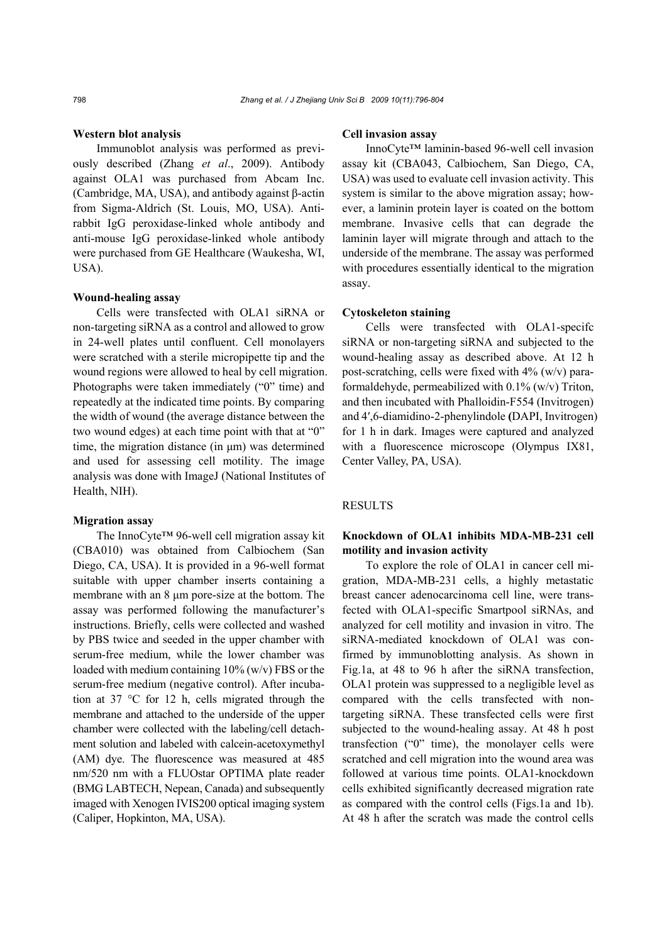#### **Western blot analysis**

Immunoblot analysis was performed as previously described (Zhang *et al*., 2009). Antibody against OLA1 was purchased from Abcam Inc. (Cambridge, MA, USA), and antibody against β-actin from Sigma-Aldrich (St. Louis, MO, USA). Antirabbit IgG peroxidase-linked whole antibody and anti-mouse IgG peroxidase-linked whole antibody were purchased from GE Healthcare (Waukesha, WI, USA).

#### **Wound-healing assay**

Cells were transfected with OLA1 siRNA or non-targeting siRNA as a control and allowed to grow in 24-well plates until confluent. Cell monolayers were scratched with a sterile micropipette tip and the wound regions were allowed to heal by cell migration. Photographs were taken immediately ("0" time) and repeatedly at the indicated time points. By comparing the width of wound (the average distance between the two wound edges) at each time point with that at "0" time, the migration distance (in μm) was determined and used for assessing cell motility. The image analysis was done with ImageJ (National Institutes of Health, NIH).

## **Migration assay**

The InnoCyte™ 96-well cell migration assay kit (CBA010) was obtained from Calbiochem (San Diego, CA, USA). It is provided in a 96-well format suitable with upper chamber inserts containing a membrane with an 8 μm pore-size at the bottom. The assay was performed following the manufacturer's instructions. Briefly, cells were collected and washed by PBS twice and seeded in the upper chamber with serum-free medium, while the lower chamber was loaded with medium containing 10% (w/v) FBS or the serum-free medium (negative control). After incubation at 37 °C for 12 h, cells migrated through the membrane and attached to the underside of the upper chamber were collected with the labeling/cell detachment solution and labeled with calcein-acetoxymethyl (AM) dye. The fluorescence was measured at 485 nm/520 nm with a FLUOstar OPTIMA plate reader (BMG LABTECH, Nepean, Canada) and subsequently imaged with Xenogen IVIS200 optical imaging system (Caliper, Hopkinton, MA, USA).

#### **Cell invasion assay**

InnoCyte™ laminin-based 96-well cell invasion assay kit (CBA043, Calbiochem, San Diego, CA, USA) was used to evaluate cell invasion activity. This system is similar to the above migration assay; however, a laminin protein layer is coated on the bottom membrane. Invasive cells that can degrade the laminin layer will migrate through and attach to the underside of the membrane. The assay was performed with procedures essentially identical to the migration assay.

#### **Cytoskeleton staining**

Cells were transfected with OLA1-specifc siRNA or non-targeting siRNA and subjected to the wound-healing assay as described above. At 12 h post-scratching, cells were fixed with 4% (w/v) paraformaldehyde, permeabilized with 0.1% (w/v) Triton, and then incubated with Phalloidin-F554 (Invitrogen) and 4′,6-diamidino-2-phenylindole **(**DAPI, Invitrogen) for 1 h in dark. Images were captured and analyzed with a fluorescence microscope (Olympus IX81, Center Valley, PA, USA).

#### RESULTS

# **Knockdown of OLA1 inhibits MDA-MB-231 cell motility and invasion activity**

To explore the role of OLA1 in cancer cell migration, MDA-MB-231 cells, a highly metastatic breast cancer adenocarcinoma cell line, were transfected with OLA1-specific Smartpool siRNAs, and analyzed for cell motility and invasion in vitro. The siRNA-mediated knockdown of OLA1 was confirmed by immunoblotting analysis. As shown in Fig.1a, at 48 to 96 h after the siRNA transfection, OLA1 protein was suppressed to a negligible level as compared with the cells transfected with nontargeting siRNA. These transfected cells were first subjected to the wound-healing assay. At 48 h post transfection ("0" time), the monolayer cells were scratched and cell migration into the wound area was followed at various time points. OLA1-knockdown cells exhibited significantly decreased migration rate as compared with the control cells (Figs.1a and 1b). At 48 h after the scratch was made the control cells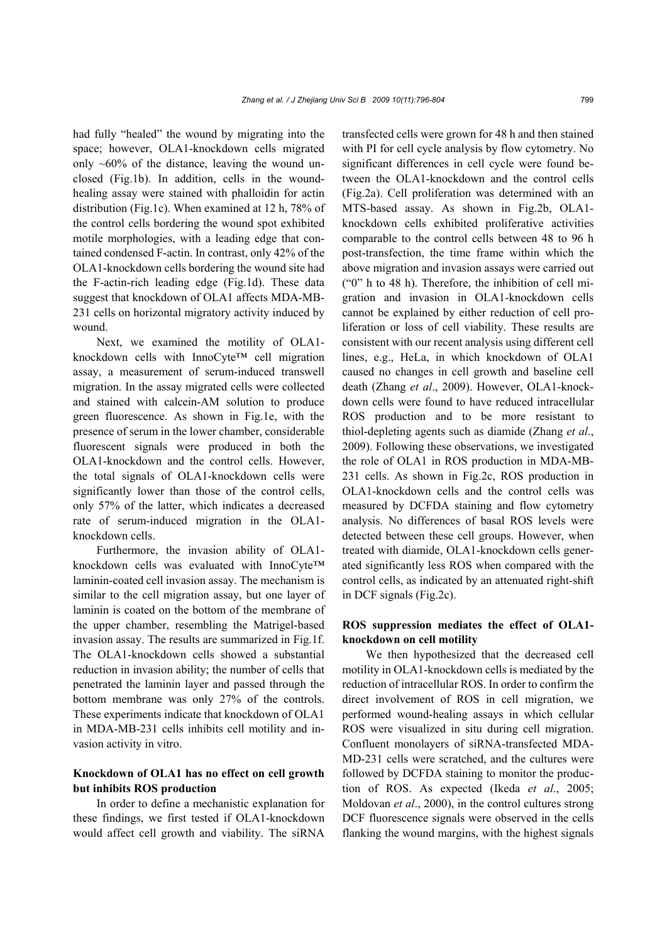had fully "healed" the wound by migrating into the space; however, OLA1-knockdown cells migrated only  $~60\%$  of the distance, leaving the wound unclosed (Fig.1b). In addition, cells in the woundhealing assay were stained with phalloidin for actin distribution (Fig.1c). When examined at 12 h, 78% of the control cells bordering the wound spot exhibited motile morphologies, with a leading edge that contained condensed F-actin. In contrast, only 42% of the OLA1-knockdown cells bordering the wound site had the F-actin-rich leading edge (Fig.1d). These data suggest that knockdown of OLA1 affects MDA-MB-231 cells on horizontal migratory activity induced by wound.

Next, we examined the motility of OLA1 knockdown cells with InnoCyte™ cell migration assay, a measurement of serum-induced transwell migration. In the assay migrated cells were collected and stained with calcein-AM solution to produce green fluorescence. As shown in Fig.1e, with the presence of serum in the lower chamber, considerable fluorescent signals were produced in both the OLA1-knockdown and the control cells. However, the total signals of OLA1-knockdown cells were significantly lower than those of the control cells, only 57% of the latter, which indicates a decreased rate of serum-induced migration in the OLA1 knockdown cells.

Furthermore, the invasion ability of OLA1 knockdown cells was evaluated with InnoCyte™ laminin-coated cell invasion assay. The mechanism is similar to the cell migration assay, but one layer of laminin is coated on the bottom of the membrane of the upper chamber, resembling the Matrigel-based invasion assay. The results are summarized in Fig.1f. The OLA1-knockdown cells showed a substantial reduction in invasion ability; the number of cells that penetrated the laminin layer and passed through the bottom membrane was only 27% of the controls. These experiments indicate that knockdown of OLA1 in MDA-MB-231 cells inhibits cell motility and invasion activity in vitro.

# **Knockdown of OLA1 has no effect on cell growth but inhibits ROS production**

In order to define a mechanistic explanation for these findings, we first tested if OLA1-knockdown would affect cell growth and viability. The siRNA

transfected cells were grown for 48 h and then stained with PI for cell cycle analysis by flow cytometry. No significant differences in cell cycle were found between the OLA1-knockdown and the control cells (Fig.2a). Cell proliferation was determined with an MTS-based assay. As shown in Fig.2b, OLA1 knockdown cells exhibited proliferative activities comparable to the control cells between 48 to 96 h post-transfection, the time frame within which the above migration and invasion assays were carried out ("0" h to 48 h). Therefore, the inhibition of cell migration and invasion in OLA1-knockdown cells cannot be explained by either reduction of cell proliferation or loss of cell viability. These results are consistent with our recent analysis using different cell lines, e.g., HeLa, in which knockdown of OLA1 caused no changes in cell growth and baseline cell death (Zhang *et al*., 2009). However, OLA1-knockdown cells were found to have reduced intracellular ROS production and to be more resistant to thiol-depleting agents such as diamide (Zhang *et al*., 2009). Following these observations, we investigated the role of OLA1 in ROS production in MDA-MB-231 cells. As shown in Fig.2c, ROS production in OLA1-knockdown cells and the control cells was measured by DCFDA staining and flow cytometry analysis. No differences of basal ROS levels were detected between these cell groups. However, when treated with diamide, OLA1-knockdown cells generated significantly less ROS when compared with the control cells, as indicated by an attenuated right-shift in DCF signals (Fig.2c).

# **ROS suppression mediates the effect of OLA1 knockdown on cell motility**

We then hypothesized that the decreased cell motility in OLA1-knockdown cells is mediated by the reduction of intracellular ROS. In order to confirm the direct involvement of ROS in cell migration, we performed wound-healing assays in which cellular ROS were visualized in situ during cell migration. Confluent monolayers of siRNA-transfected MDA-MD-231 cells were scratched, and the cultures were followed by DCFDA staining to monitor the production of ROS. As expected (Ikeda *et al*., 2005; Moldovan *et al*., 2000), in the control cultures strong DCF fluorescence signals were observed in the cells flanking the wound margins, with the highest signals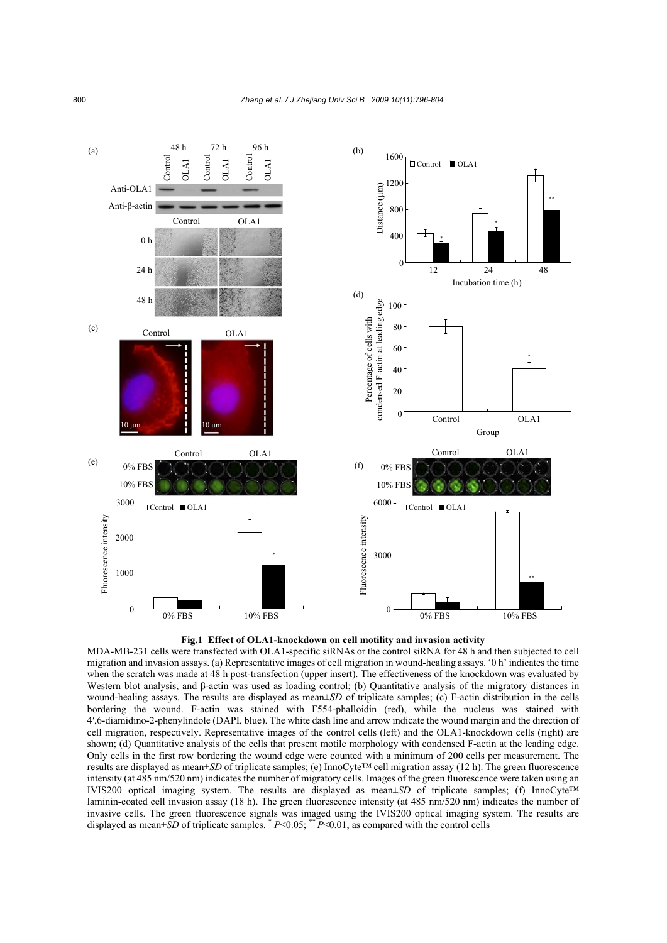

#### **Fig.1 Effect of OLA1-knockdown on cell motility and invasion activity**

MDA-MB-231 cells were transfected with OLA1-specific siRNAs or the control siRNA for 48 h and then subjected to cell migration and invasion assays. (a) Representative images of cell migration in wound-healing assays. '0 h' indicates the time when the scratch was made at 48 h post-transfection (upper insert). The effectiveness of the knockdown was evaluated by Western blot analysis, and β-actin was used as loading control; (b) Quantitative analysis of the migratory distances in wound-healing assays. The results are displayed as mean±*SD* of triplicate samples; (c) F-actin distribution in the cells bordering the wound. F-actin was stained with F554-phalloidin (red), while the nucleus was stained with 4′,6-diamidino-2-phenylindole (DAPI, blue). The white dash line and arrow indicate the wound margin and the direction of cell migration, respectively. Representative images of the control cells (left) and the OLA1-knockdown cells (right) are shown; (d) Quantitative analysis of the cells that present motile morphology with condensed F-actin at the leading edge. Only cells in the first row bordering the wound edge were counted with a minimum of 200 cells per measurement. The results are displayed as mean±*SD* of triplicate samples; (e) InnoCyte™ cell migration assay (12 h). The green fluorescence intensity (at 485 nm/520 nm) indicates the number of migratory cells. Images of the green fluorescence were taken using an IVIS200 optical imaging system. The results are displayed as mean±*SD* of triplicate samples; (f) InnoCyte™ laminin-coated cell invasion assay (18 h). The green fluorescence intensity (at 485 nm/520 nm) indicates the number of invasive cells. The green fluorescence signals was imaged using the IVIS200 optical imaging system. The results are displayed as mean±*SD* of triplicate samples. \* *P*<0.05; \*\* *P*<0.01, as compared with the control cells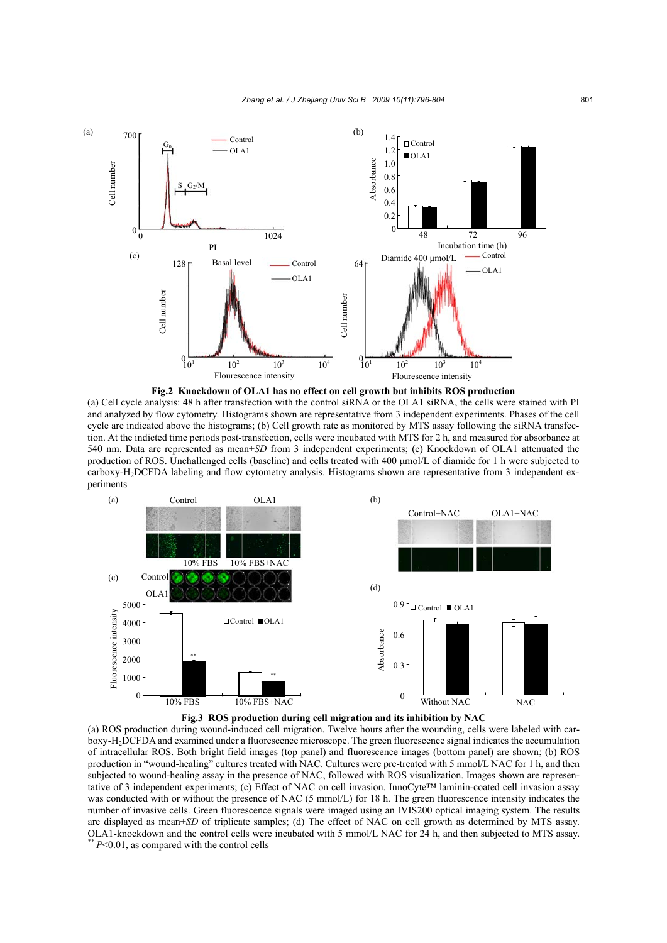

**Fig.2 Knockdown of OLA1 has no effect on cell growth but inhibits ROS production** 

(a) Cell cycle analysis: 48 h after transfection with the control siRNA or the OLA1 siRNA, the cells were stained with PI and analyzed by flow cytometry. Histograms shown are representative from 3 independent experiments. Phases of the cell cycle are indicated above the histograms; (b) Cell growth rate as monitored by MTS assay following the siRNA transfection. At the indicted time periods post-transfection, cells were incubated with MTS for 2 h, and measured for absorbance at 540 nm. Data are represented as mean±*SD* from 3 independent experiments; (c) Knockdown of OLA1 attenuated the production of ROS. Unchallenged cells (baseline) and cells treated with 400 μmol/L of diamide for 1 h were subjected to carboxy-H2DCFDA labeling and flow cytometry analysis. Histograms shown are representative from 3 independent experiments





(a) ROS production during wound-induced cell migration. Twelve hours after the wounding, cells were labeled with carboxy-H2DCFDA and examined under a fluorescence microscope. The green fluorescence signal indicates the accumulation of intracellular ROS. Both bright field images (top panel) and fluorescence images (bottom panel) are shown; (b) ROS production in "wound-healing" cultures treated with NAC. Cultures were pre-treated with 5 mmol/L NAC for 1 h, and then subjected to wound-healing assay in the presence of NAC, followed with ROS visualization. Images shown are representative of 3 independent experiments; (c) Effect of NAC on cell invasion. InnoCyte™ laminin-coated cell invasion assay was conducted with or without the presence of NAC (5 mmol/L) for 18 h. The green fluorescence intensity indicates the number of invasive cells. Green fluorescence signals were imaged using an IVIS200 optical imaging system. The results are displayed as mean±*SD* of triplicate samples; (d) The effect of NAC on cell growth as determined by MTS assay. OLA1-knockdown and the control cells were incubated with 5 mmol/L NAC for 24 h, and then subjected to MTS assay. \*\* *P*<0.01, as compared with the control cells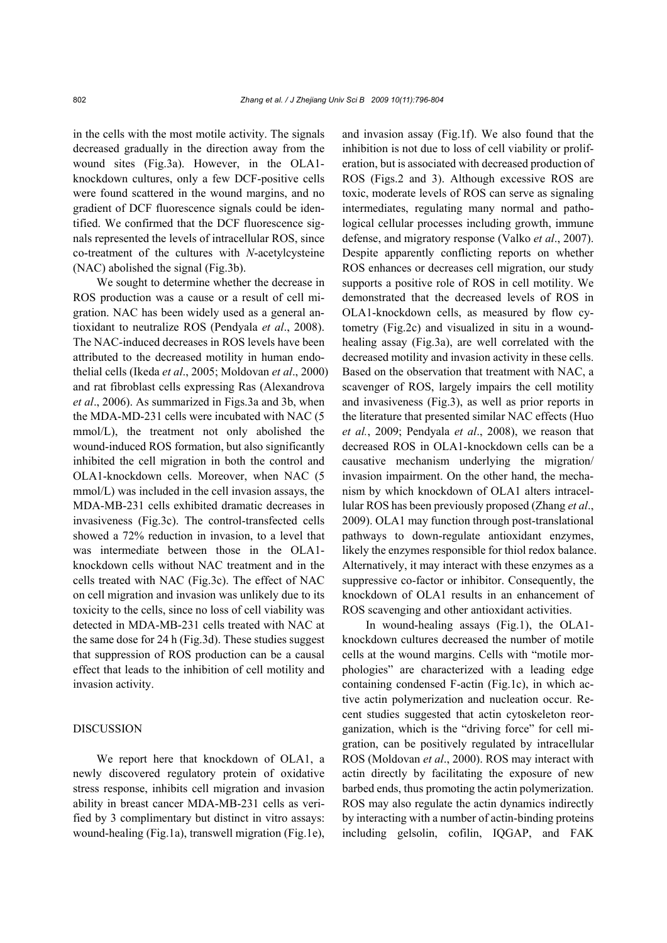in the cells with the most motile activity. The signals decreased gradually in the direction away from the wound sites (Fig.3a). However, in the OLA1 knockdown cultures, only a few DCF-positive cells were found scattered in the wound margins, and no gradient of DCF fluorescence signals could be identified. We confirmed that the DCF fluorescence signals represented the levels of intracellular ROS, since co-treatment of the cultures with *N*-acetylcysteine (NAC) abolished the signal (Fig.3b).

We sought to determine whether the decrease in ROS production was a cause or a result of cell migration. NAC has been widely used as a general antioxidant to neutralize ROS (Pendyala *et al*., 2008). The NAC-induced decreases in ROS levels have been attributed to the decreased motility in human endothelial cells (Ikeda *et al*., 2005; Moldovan *et al*., 2000) and rat fibroblast cells expressing Ras (Alexandrova *et al*., 2006). As summarized in Figs.3a and 3b, when the MDA-MD-231 cells were incubated with NAC (5 mmol/L), the treatment not only abolished the wound-induced ROS formation, but also significantly inhibited the cell migration in both the control and OLA1-knockdown cells. Moreover, when NAC (5 mmol/L) was included in the cell invasion assays, the MDA-MB-231 cells exhibited dramatic decreases in invasiveness (Fig.3c). The control-transfected cells showed a 72% reduction in invasion, to a level that was intermediate between those in the OLA1 knockdown cells without NAC treatment and in the cells treated with NAC (Fig.3c). The effect of NAC on cell migration and invasion was unlikely due to its toxicity to the cells, since no loss of cell viability was detected in MDA-MB-231 cells treated with NAC at the same dose for 24 h (Fig.3d). These studies suggest that suppression of ROS production can be a causal effect that leads to the inhibition of cell motility and invasion activity.

## DISCUSSION

We report here that knockdown of OLA1, a newly discovered regulatory protein of oxidative stress response, inhibits cell migration and invasion ability in breast cancer MDA-MB-231 cells as verified by 3 complimentary but distinct in vitro assays: wound-healing (Fig.1a), transwell migration (Fig.1e),

and invasion assay (Fig.1f). We also found that the inhibition is not due to loss of cell viability or proliferation, but is associated with decreased production of ROS (Figs.2 and 3). Although excessive ROS are toxic, moderate levels of ROS can serve as signaling intermediates, regulating many normal and pathological cellular processes including growth, immune defense, and migratory response (Valko *et al*., 2007). Despite apparently conflicting reports on whether ROS enhances or decreases cell migration, our study supports a positive role of ROS in cell motility. We demonstrated that the decreased levels of ROS in OLA1-knockdown cells, as measured by flow cytometry (Fig.2c) and visualized in situ in a woundhealing assay (Fig.3a), are well correlated with the decreased motility and invasion activity in these cells. Based on the observation that treatment with NAC, a scavenger of ROS, largely impairs the cell motility and invasiveness (Fig.3), as well as prior reports in the literature that presented similar NAC effects (Huo *et al.*, 2009; Pendyala *et al*., 2008), we reason that decreased ROS in OLA1-knockdown cells can be a causative mechanism underlying the migration/ invasion impairment. On the other hand, the mechanism by which knockdown of OLA1 alters intracellular ROS has been previously proposed (Zhang *et al*., 2009). OLA1 may function through post-translational pathways to down-regulate antioxidant enzymes, likely the enzymes responsible for thiol redox balance. Alternatively, it may interact with these enzymes as a suppressive co-factor or inhibitor. Consequently, the knockdown of OLA1 results in an enhancement of ROS scavenging and other antioxidant activities.

In wound-healing assays (Fig.1), the OLA1 knockdown cultures decreased the number of motile cells at the wound margins. Cells with "motile morphologies" are characterized with a leading edge containing condensed F-actin (Fig.1c), in which active actin polymerization and nucleation occur. Recent studies suggested that actin cytoskeleton reorganization, which is the "driving force" for cell migration, can be positively regulated by intracellular ROS (Moldovan *et al*., 2000). ROS may interact with actin directly by facilitating the exposure of new barbed ends, thus promoting the actin polymerization. ROS may also regulate the actin dynamics indirectly by interacting with a number of actin-binding proteins including gelsolin, cofilin, IQGAP, and FAK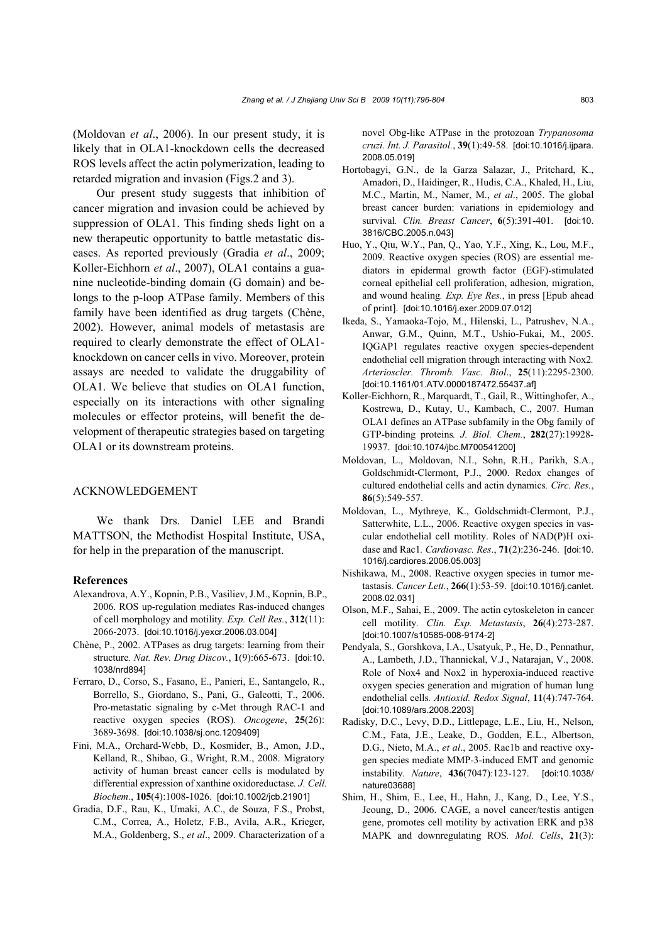(Moldovan *et al*., 2006). In our present study, it is likely that in OLA1-knockdown cells the decreased ROS levels affect the actin polymerization, leading to retarded migration and invasion (Figs.2 and 3).

Our present study suggests that inhibition of cancer migration and invasion could be achieved by suppression of OLA1. This finding sheds light on a new therapeutic opportunity to battle metastatic diseases. As reported previously (Gradia *et al*., 2009; Koller-Eichhorn *et al*., 2007), OLA1 contains a guanine nucleotide-binding domain (G domain) and belongs to the p-loop ATPase family. Members of this family have been identified as drug targets (Chène, 2002). However, animal models of metastasis are required to clearly demonstrate the effect of OLA1 knockdown on cancer cells in vivo. Moreover, protein assays are needed to validate the druggability of OLA1. We believe that studies on OLA1 function, especially on its interactions with other signaling molecules or effector proteins, will benefit the development of therapeutic strategies based on targeting OLA1 or its downstream proteins.

#### ACKNOWLEDGEMENT

We thank Drs. Daniel LEE and Brandi MATTSON, the Methodist Hospital Institute, USA, for help in the preparation of the manuscript.

#### **References**

- Alexandrova, A.Y., Kopnin, P.B., Vasiliev, J.M., Kopnin, B.P., 2006. ROS up-regulation mediates Ras-induced changes of cell morphology and motility*. Exp. Cell Res.*, **312**(11): 2066-2073. [doi:10.1016/j.yexcr.2006.03.004]
- Chène, P., 2002. ATPases as drug targets: learning from their structure*. Nat. Rev. Drug Discov.*, **1**(9):665-673. [doi:10. 1038/nrd894]
- Ferraro, D., Corso, S., Fasano, E., Panieri, E., Santangelo, R., Borrello, S., Giordano, S., Pani, G., Galeotti, T., 2006. Pro-metastatic signaling by c-Met through RAC-1 and reactive oxygen species (ROS)*. Oncogene*, **25**(26): 3689-3698. [doi:10.1038/sj.onc.1209409]
- Fini, M.A., Orchard-Webb, D., Kosmider, B., Amon, J.D., Kelland, R., Shibao, G., Wright, R.M., 2008. Migratory activity of human breast cancer cells is modulated by differential expression of xanthine oxidoreductase*. J. Cell. Biochem.*, **105**(4):1008-1026. [doi:10.1002/jcb.21901]
- Gradia, D.F., Rau, K., Umaki, A.C., de Souza, F.S., Probst, C.M., Correa, A., Holetz, F.B., Avila, A.R., Krieger, M.A., Goldenberg, S., *et al*., 2009. Characterization of a

novel Obg-like ATPase in the protozoan *Trypanosoma cruzi. Int. J. Parasitol.*, **39**(1):49-58. [doi:10.1016/j.ijpara. 2008.05.019]

- Hortobagyi, G.N., de la Garza Salazar, J., Pritchard, K., Amadori, D., Haidinger, R., Hudis, C.A., Khaled, H., Liu, M.C., Martin, M., Namer, M., *et al*., 2005. The global breast cancer burden: variations in epidemiology and survival*. Clin. Breast Cancer*, **6**(5):391-401. [doi:10. 3816/CBC.2005.n.043]
- Huo, Y., Qiu, W.Y., Pan, Q., Yao, Y.F., Xing, K., Lou, M.F., 2009. Reactive oxygen species (ROS) are essential mediators in epidermal growth factor (EGF)-stimulated corneal epithelial cell proliferation, adhesion, migration, and wound healing*. Exp. Eye Res.*, in press [Epub ahead of print]. [doi:10.1016/j.exer.2009.07.012]
- Ikeda, S., Yamaoka-Tojo, M., Hilenski, L., Patrushev, N.A., Anwar, G.M., Quinn, M.T., Ushio-Fukai, M., 2005. IQGAP1 regulates reactive oxygen species-dependent endothelial cell migration through interacting with Nox2*. Arterioscler. Thromb. Vasc. Biol*., **25**(11):2295-2300. [doi:10.1161/01.ATV.0000187472.55437.af]
- Koller-Eichhorn, R., Marquardt, T., Gail, R., Wittinghofer, A., Kostrewa, D., Kutay, U., Kambach, C., 2007. Human OLA1 defines an ATPase subfamily in the Obg family of GTP-binding proteins*. J. Biol. Chem.*, **282**(27):19928- 19937. [doi:10.1074/jbc.M700541200]
- Moldovan, L., Moldovan, N.I., Sohn, R.H., Parikh, S.A., Goldschmidt-Clermont, P.J., 2000. Redox changes of cultured endothelial cells and actin dynamics*. Circ. Res.*, **86**(5):549-557.
- Moldovan, L., Mythreye, K., Goldschmidt-Clermont, P.J., Satterwhite, L.L., 2006. Reactive oxygen species in vascular endothelial cell motility. Roles of NAD(P)H oxidase and Rac1*. Cardiovasc. Res*., **71**(2):236-246. [doi:10. 1016/j.cardiores.2006.05.003]
- Nishikawa, M., 2008. Reactive oxygen species in tumor metastasis*. Cancer Lett.*, **266**(1):53-59. [doi:10.1016/j.canlet. 2008.02.031]
- Olson, M.F., Sahai, E., 2009. The actin cytoskeleton in cancer cell motility*. Clin. Exp. Metastasis*, **26**(4):273-287. [doi:10.1007/s10585-008-9174-2]
- Pendyala, S., Gorshkova, I.A., Usatyuk, P., He, D., Pennathur, A., Lambeth, J.D., Thannickal, V.J., Natarajan, V., 2008. Role of Nox4 and Nox2 in hyperoxia-induced reactive oxygen species generation and migration of human lung endothelial cells*. Antioxid. Redox Signal*, **11**(4):747-764. [doi:10.1089/ars.2008.2203]
- Radisky, D.C., Levy, D.D., Littlepage, L.E., Liu, H., Nelson, C.M., Fata, J.E., Leake, D., Godden, E.L., Albertson, D.G., Nieto, M.A., *et al*., 2005. Rac1b and reactive oxygen species mediate MMP-3-induced EMT and genomic instability*. Nature*, **436**(7047):123-127. [doi:10.1038/ nature03688]
- Shim, H., Shim, E., Lee, H., Hahn, J., Kang, D., Lee, Y.S., Jeoung, D., 2006. CAGE, a novel cancer/testis antigen gene, promotes cell motility by activation ERK and p38 MAPK and downregulating ROS*. Mol. Cells*, **21**(3):